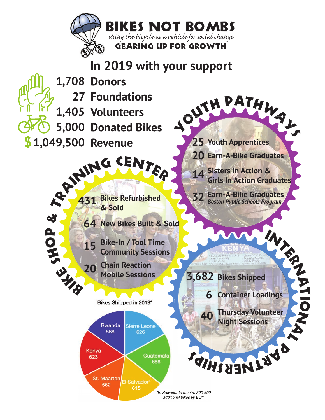